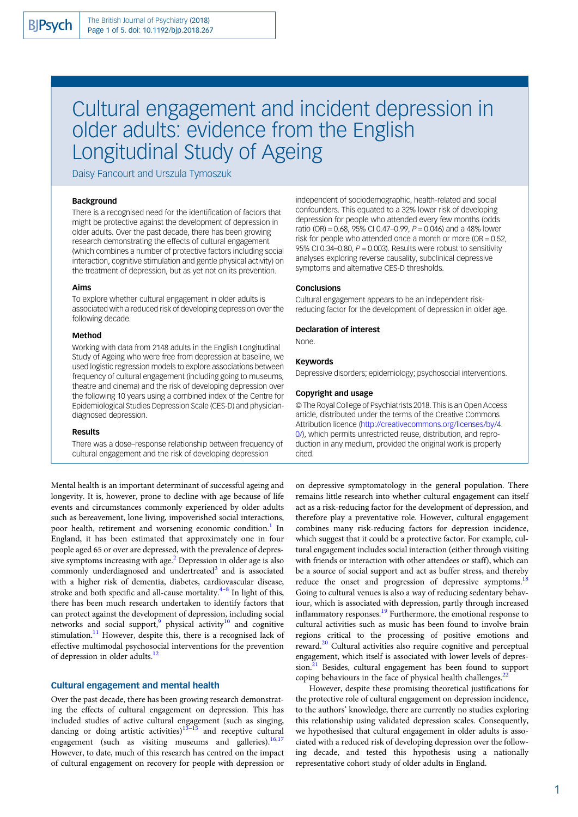# Cultural engagement and incident depression in older adults: evidence from the English Longitudinal Study of Ageing

Daisy Fancourt and Urszula Tymoszuk

# Background

There is a recognised need for the identification of factors that might be protective against the development of depression in older adults. Over the past decade, there has been growing research demonstrating the effects of cultural engagement (which combines a number of protective factors including social interaction, cognitive stimulation and gentle physical activity) on the treatment of depression, but as yet not on its prevention.

#### Aims

To explore whether cultural engagement in older adults is associated with a reduced risk of developing depression over the following decade.

# Method

Working with data from 2148 adults in the English Longitudinal Study of Ageing who were free from depression at baseline, we used logistic regression models to explore associations between frequency of cultural engagement (including going to museums, theatre and cinema) and the risk of developing depression over the following 10 years using a combined index of the Centre for Epidemiological Studies Depression Scale (CES-D) and physiciandiagnosed depression.

# Results

There was a dose–response relationship between frequency of cultural engagement and the risk of developing depression

Mental health is an important determinant of successful ageing and longevity. It is, however, prone to decline with age because of life events and circumstances commonly experienced by older adults such as bereavement, lone living, impoverished social interactions, poor health, retirement and worsening economic condition.<sup>1</sup> In England, it has been estimated that approximately one in four people aged 65 or over are depressed, with the prevalence of depressive symptoms increasing with age. ${}^{2}$  ${}^{2}$  ${}^{2}$  Depression in older age is also commonly underdiagnosed and undertreated $3$  and is associated with a higher risk of dementia, diabetes, cardiovascular disease, stroke and both specific and all-cause mortality. $4-8$  $4-8$  $4-8$  In light of this, there has been much research undertaken to identify factors that can protect against the development of depression, including social networks and social support, $9$  physical activity $10$  and cognitive stimulation.<sup>[11](#page-4-0)</sup> However, despite this, there is a recognised lack of effective multimodal psychosocial interventions for the prevention of depression in older adults[.12](#page-4-0)

# Cultural engagement and mental health

Over the past decade, there has been growing research demonstrating the effects of cultural engagement on depression. This has included studies of active cultural engagement (such as singing, dancing or doing artistic activities) $13-\frac{15}{15}$  $13-\frac{15}{15}$  $13-\frac{15}{15}$  and receptive cultural engagement (such as visiting museums and galleries). $16,17$ However, to date, much of this research has centred on the impact of cultural engagement on recovery for people with depression or

independent of sociodemographic, health-related and social confounders. This equated to a 32% lower risk of developing depression for people who attended every few months (odds ratio (OR) = 0.68, 95% CI 0.47–0.99,  $P = 0.046$ ) and a 48% lower risk for people who attended once a month or more ( $OR = 0.52$ , 95% CI 0.34–0.80,  $P = 0.003$ ). Results were robust to sensitivity analyses exploring reverse causality, subclinical depressive symptoms and alternative CES-D thresholds.

## **Conclusions**

Cultural engagement appears to be an independent riskreducing factor for the development of depression in older age.

#### Declaration of interest

None.

#### Keywords

Depressive disorders; epidemiology; psychosocial interventions.

#### Copyright and usage

© The Royal College of Psychiatrists 2018. This is an Open Access article, distributed under the terms of the Creative Commons Attribution licence ([http://creativecommons.org/licenses/by/4.](http://creativecommons.org/licenses/by/4.0/) [0/](http://creativecommons.org/licenses/by/4.0/)), which permits unrestricted reuse, distribution, and reproduction in any medium, provided the original work is properly cited.

on depressive symptomatology in the general population. There remains little research into whether cultural engagement can itself act as a risk-reducing factor for the development of depression, and therefore play a preventative role. However, cultural engagement combines many risk-reducing factors for depression incidence, which suggest that it could be a protective factor. For example, cultural engagement includes social interaction (either through visiting with friends or interaction with other attendees or staff), which can be a source of social support and act as buffer stress, and thereby reduce the onset and progression of depressive symptoms.<sup>1</sup> Going to cultural venues is also a way of reducing sedentary behaviour, which is associated with depression, partly through increased inflammatory responses.[19](#page-4-0) Furthermore, the emotional response to cultural activities such as music has been found to involve brain regions critical to the processing of positive emotions and reward.[20](#page-4-0) Cultural activities also require cognitive and perceptual engagement, which itself is associated with lower levels of depres-sion.<sup>[21](#page-4-0)</sup> Besides, cultural engagement has been found to support coping behaviours in the face of physical health challenges. $^{22}$  $^{22}$  $^{22}$ 

However, despite these promising theoretical justifications for the protective role of cultural engagement on depression incidence, to the authors' knowledge, there are currently no studies exploring this relationship using validated depression scales. Consequently, we hypothesised that cultural engagement in older adults is associated with a reduced risk of developing depression over the following decade, and tested this hypothesis using a nationally representative cohort study of older adults in England.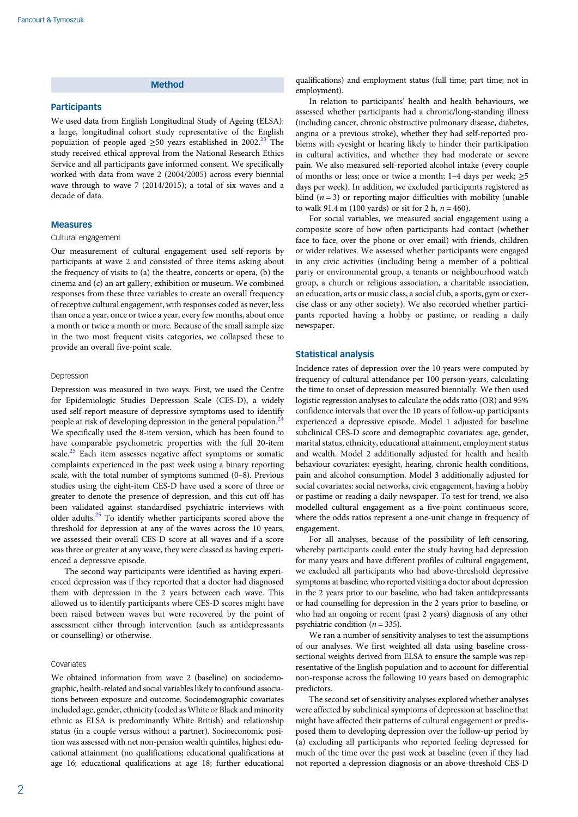# Method

#### **Participants**

We used data from English Longitudinal Study of Ageing (ELSA): a large, longitudinal cohort study representative of the English population of people aged  $\geq 50$  years established in 2002.<sup>[23](#page-4-0)</sup> The study received ethical approval from the National Research Ethics Service and all participants gave informed consent. We specifically worked with data from wave 2 (2004/2005) across every biennial wave through to wave 7 (2014/2015); a total of six waves and a decade of data.

#### Measures

### Cultural engagement

Our measurement of cultural engagement used self-reports by participants at wave 2 and consisted of three items asking about the frequency of visits to (a) the theatre, concerts or opera, (b) the cinema and (c) an art gallery, exhibition or museum. We combined responses from these three variables to create an overall frequency of receptive cultural engagement, with responses coded as never, less than once a year, once or twice a year, every few months, about once a month or twice a month or more. Because of the small sample size in the two most frequent visits categories, we collapsed these to provide an overall five-point scale.

### Depression

Depression was measured in two ways. First, we used the Centre for Epidemiologic Studies Depression Scale (CES-D), a widely used self-report measure of depressive symptoms used to identify people at risk of developing depression in the general population.<sup>24</sup> We specifically used the 8-item version, which has been found to have comparable psychometric properties with the full 20-item scale.<sup>[25](#page-4-0)</sup> Each item assesses negative affect symptoms or somatic complaints experienced in the past week using a binary reporting scale, with the total number of symptoms summed (0–8). Previous studies using the eight-item CES-D have used a score of three or greater to denote the presence of depression, and this cut-off has been validated against standardised psychiatric interviews with older adults. $25$  To identify whether participants scored above the threshold for depression at any of the waves across the 10 years, we assessed their overall CES-D score at all waves and if a score was three or greater at any wave, they were classed as having experienced a depressive episode.

The second way participants were identified as having experienced depression was if they reported that a doctor had diagnosed them with depression in the 2 years between each wave. This allowed us to identify participants where CES-D scores might have been raised between waves but were recovered by the point of assessment either through intervention (such as antidepressants or counselling) or otherwise.

## Covariates

We obtained information from wave 2 (baseline) on sociodemographic, health-related and social variables likely to confound associations between exposure and outcome. Sociodemographic covariates included age, gender, ethnicity (coded as White or Black and minority ethnic as ELSA is predominantly White British) and relationship status (in a couple versus without a partner). Socioeconomic position was assessed with net non-pension wealth quintiles, highest educational attainment (no qualifications; educational qualifications at age 16; educational qualifications at age 18; further educational qualifications) and employment status (full time; part time; not in employment).

In relation to participants' health and health behaviours, we assessed whether participants had a chronic/long-standing illness (including cancer, chronic obstructive pulmonary disease, diabetes, angina or a previous stroke), whether they had self-reported problems with eyesight or hearing likely to hinder their participation in cultural activities, and whether they had moderate or severe pain. We also measured self-reported alcohol intake (every couple of months or less; once or twice a month; 1–4 days per week;  $\geq 5$ days per week). In addition, we excluded participants registered as blind  $(n = 3)$  or reporting major difficulties with mobility (unable to walk 91.4 m (100 yards) or sit for 2 h,  $n = 460$ ).

For social variables, we measured social engagement using a composite score of how often participants had contact (whether face to face, over the phone or over email) with friends, children or wider relatives. We assessed whether participants were engaged in any civic activities (including being a member of a political party or environmental group, a tenants or neighbourhood watch group, a church or religious association, a charitable association, an education, arts or music class, a social club, a sports, gym or exercise class or any other society). We also recorded whether participants reported having a hobby or pastime, or reading a daily newspaper.

# Statistical analysis

Incidence rates of depression over the 10 years were computed by frequency of cultural attendance per 100 person-years, calculating the time to onset of depression measured biennially. We then used logistic regression analyses to calculate the odds ratio (OR) and 95% confidence intervals that over the 10 years of follow-up participants experienced a depressive episode. Model 1 adjusted for baseline subclinical CES-D score and demographic covariates: age, gender, marital status, ethnicity, educational attainment, employment status and wealth. Model 2 additionally adjusted for health and health behaviour covariates: eyesight, hearing, chronic health conditions, pain and alcohol consumption. Model 3 additionally adjusted for social covariates: social networks, civic engagement, having a hobby or pastime or reading a daily newspaper. To test for trend, we also modelled cultural engagement as a five-point continuous score, where the odds ratios represent a one-unit change in frequency of engagement.

For all analyses, because of the possibility of left-censoring, whereby participants could enter the study having had depression for many years and have different profiles of cultural engagement, we excluded all participants who had above-threshold depressive symptoms at baseline, who reported visiting a doctor about depression in the 2 years prior to our baseline, who had taken antidepressants or had counselling for depression in the 2 years prior to baseline, or who had an ongoing or recent (past 2 years) diagnosis of any other psychiatric condition ( $n = 335$ ).

We ran a number of sensitivity analyses to test the assumptions of our analyses. We first weighted all data using baseline crosssectional weights derived from ELSA to ensure the sample was representative of the English population and to account for differential non-response across the following 10 years based on demographic predictors.

The second set of sensitivity analyses explored whether analyses were affected by subclinical symptoms of depression at baseline that might have affected their patterns of cultural engagement or predisposed them to developing depression over the follow-up period by (a) excluding all participants who reported feeling depressed for much of the time over the past week at baseline (even if they had not reported a depression diagnosis or an above-threshold CES-D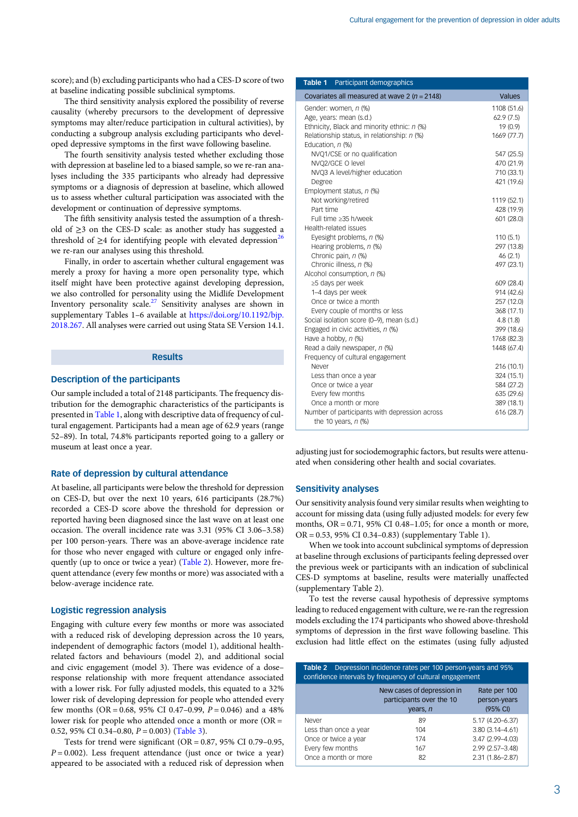score); and (b) excluding participants who had a CES-D score of two at baseline indicating possible subclinical symptoms.

The third sensitivity analysis explored the possibility of reverse causality (whereby precursors to the development of depressive symptoms may alter/reduce participation in cultural activities), by conducting a subgroup analysis excluding participants who developed depressive symptoms in the first wave following baseline.

The fourth sensitivity analysis tested whether excluding those with depression at baseline led to a biased sample, so we re-ran analyses including the 335 participants who already had depressive symptoms or a diagnosis of depression at baseline, which allowed us to assess whether cultural participation was associated with the development or continuation of depressive symptoms.

The fifth sensitivity analysis tested the assumption of a threshold of  $\geq$ 3 on the CES-D scale: as another study has suggested a threshold of  $\geq$ 4 for identifying people with elevated depression<sup>26</sup> we re-ran our analyses using this threshold.

Finally, in order to ascertain whether cultural engagement was merely a proxy for having a more open personality type, which itself might have been protective against developing depression, we also controlled for personality using the Midlife Development Inventory personality scale.<sup>[27](#page-4-0)</sup> Sensitivity analyses are shown in supplementary Tables 1-6 available at [https://doi.org/10.1192/bjp.](https://doi.org/10.1192/bjp.2018.267) [2018.267.](https://doi.org/10.1192/bjp.2018.267) All analyses were carried out using Stata SE Version 14.1.

# Results

# Description of the participants

Our sample included a total of 2148 participants. The frequency distribution for the demographic characteristics of the participants is presented in Table 1, along with descriptive data of frequency of cultural engagement. Participants had a mean age of 62.9 years (range 52–89). In total, 74.8% participants reported going to a gallery or museum at least once a year.

# Rate of depression by cultural attendance

At baseline, all participants were below the threshold for depression on CES-D, but over the next 10 years, 616 participants (28.7%) recorded a CES-D score above the threshold for depression or reported having been diagnosed since the last wave on at least one occasion. The overall incidence rate was 3.31 (95% CI 3.06–3.58) per 100 person-years. There was an above-average incidence rate for those who never engaged with culture or engaged only infrequently (up to once or twice a year) (Table 2). However, more frequent attendance (every few months or more) was associated with a below-average incidence rate.

#### Logistic regression analysis

Engaging with culture every few months or more was associated with a reduced risk of developing depression across the 10 years, independent of demographic factors (model 1), additional healthrelated factors and behaviours (model 2), and additional social and civic engagement (model 3). There was evidence of a dose– response relationship with more frequent attendance associated with a lower risk. For fully adjusted models, this equated to a 32% lower risk of developing depression for people who attended every few months (OR = 0.68, 95% CI 0.47–0.99,  $P = 0.046$ ) and a 48% lower risk for people who attended once a month or more (OR = 0.52, 95% CI 0.34-0.80,  $P = 0.003$ ) ([Table 3](#page-3-0)).

Tests for trend were significant (OR = 0.87, 95% CI 0.79–0.95,  $P = 0.002$ ). Less frequent attendance (just once or twice a year) appeared to be associated with a reduced risk of depression when

| Participant demographics<br>Table 1                                    |                          |  |  |
|------------------------------------------------------------------------|--------------------------|--|--|
| Covariates all measured at wave 2 ( $n = 2148$ )                       | <b>Values</b>            |  |  |
| Gender: women, n (%)                                                   | 1108 (51.6)              |  |  |
| Age, years: mean (s.d.)                                                | 62.9(7.5)                |  |  |
| Ethnicity, Black and minority ethnic: n (%)                            | 19 (0.9)                 |  |  |
| Relationship status, in relationship: n (%)                            | 1669 (77.7)              |  |  |
| Education, n (%)                                                       |                          |  |  |
| NVQ1/CSE or no qualification                                           | 547 (25.5)               |  |  |
| NVQ2/GCE O level                                                       | 470 (21.9)               |  |  |
| NVQ3 A level/higher education                                          | 710 (33.1)               |  |  |
| Degree                                                                 | 421 (19.6)               |  |  |
| Employment status, n (%)                                               |                          |  |  |
| Not working/retired                                                    | 1119 (52.1)              |  |  |
| Part time                                                              | 428 (19.9)               |  |  |
| Full time ≥35 h/week                                                   | 601 (28.0)               |  |  |
| Health-related issues                                                  |                          |  |  |
| Eyesight problems, n (%)                                               | 110(5.1)                 |  |  |
| Hearing problems, n (%)                                                | 297 (13.8)               |  |  |
| Chronic pain, n (%)                                                    | 46 (2.1)                 |  |  |
| Chronic illness, n (%)                                                 | 497 (23.1)               |  |  |
| Alcohol consumption, n (%)                                             |                          |  |  |
| ≥5 days per week                                                       | 609 (28.4)               |  |  |
| 1-4 days per week                                                      | 914 (42.6)               |  |  |
| Once or twice a month                                                  | 257 (12.0)               |  |  |
| Every couple of months or less                                         | 368 (17.1)               |  |  |
| Social isolation score (0-9), mean (s.d.)                              | 4.8(1.8)                 |  |  |
| Engaged in civic activities, n (%)                                     | 399 (18.6)               |  |  |
| Have a hobby, $n$ (%)                                                  | 1768 (82.3)              |  |  |
| Read a daily newspaper, n (%)                                          | 1448 (67.4)              |  |  |
| Frequency of cultural engagement                                       |                          |  |  |
| Never                                                                  | 216 (10.1)               |  |  |
| Less than once a year                                                  | 324 (15.1)               |  |  |
| Once or twice a year                                                   | 584 (27.2)               |  |  |
| Every few months<br>Once a month or more                               | 635 (29.6)<br>389 (18.1) |  |  |
|                                                                        | 616 (28.7)               |  |  |
| Number of participants with depression across<br>the 10 years, $n$ (%) |                          |  |  |

adjusting just for sociodemographic factors, but results were attenuated when considering other health and social covariates.

# Sensitivity analyses

Our sensitivity analysis found very similar results when weighting to account for missing data (using fully adjusted models: for every few months,  $OR = 0.71$ , 95% CI 0.48-1.05; for once a month or more, OR = 0.53, 95% CI 0.34–0.83) (supplementary Table 1).

When we took into account subclinical symptoms of depression at baseline through exclusions of participants feeling depressed over the previous week or participants with an indication of subclinical CES-D symptoms at baseline, results were materially unaffected (supplementary Table 2).

To test the reverse causal hypothesis of depressive symptoms leading to reduced engagement with culture, we re-ran the regression models excluding the 174 participants who showed above-threshold symptoms of depression in the first wave following baseline. This exclusion had little effect on the estimates (using fully adjusted

| <b>Table 2</b> Depression incidence rates per 100 person-years and 95%<br>confidence intervals by frequency of cultural engagement |                                                                    |                                                                                                     |  |  |  |  |  |
|------------------------------------------------------------------------------------------------------------------------------------|--------------------------------------------------------------------|-----------------------------------------------------------------------------------------------------|--|--|--|--|--|
|                                                                                                                                    | New cases of depression in<br>participants over the 10<br>years, n | Rate per 100<br>person-years<br>$(95% \text{ Cl})$                                                  |  |  |  |  |  |
| Never<br>Less than once a year<br>Once or twice a year<br>Every few months<br>Once a month or more                                 | 89<br>104<br>174<br>167<br>82                                      | 5.17 (4.20-6.37)<br>$3.80(3.14 - 4.61)$<br>3.47 (2.99-4.03)<br>2.99 (2.57-3.48)<br>2.31 (1.86-2.87) |  |  |  |  |  |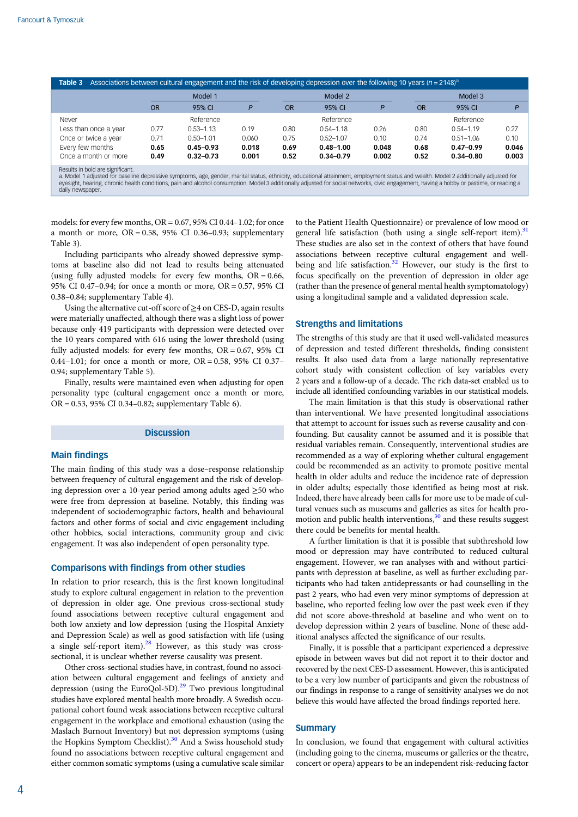<span id="page-3-0"></span>

| Associations between cultural engagement and the risk of developing depression over the following 10 years ( $n = 2148$ ) <sup>a</sup><br>Table 3 |           |               |       |           |               |         |           |               |       |  |
|---------------------------------------------------------------------------------------------------------------------------------------------------|-----------|---------------|-------|-----------|---------------|---------|-----------|---------------|-------|--|
|                                                                                                                                                   | Model 1   |               |       | Model 2   |               | Model 3 |           |               |       |  |
|                                                                                                                                                   | <b>OR</b> | 95% CI        |       | <b>OR</b> | 95% CI        | P       | <b>OR</b> | 95% CI        |       |  |
| Never                                                                                                                                             |           | Reference     |       |           | Reference     |         |           | Reference     |       |  |
| Less than once a year                                                                                                                             | 0.77      | $0.53 - 1.13$ | 0.19  | 0.80      | $0.54 - 1.18$ | 0.26    | 0.80      | $0.54 - 1.19$ | 0.27  |  |
| Once or twice a year                                                                                                                              | 0.71      | $0.50 - 1.01$ | 0.060 | 0.75      | $0.52 - 1.07$ | 0.10    | 0.74      | $0.51 - 1.06$ | 0.10  |  |
| Every few months                                                                                                                                  | 0.65      | $0.45 - 0.93$ | 0.018 | 0.69      | $0.48 - 1.00$ | 0.048   | 0.68      | $0.47 - 0.99$ | 0.046 |  |
| Once a month or more                                                                                                                              | 0.49      | $0.32 - 0.73$ | 0.001 | 0.52      | $0.34 - 0.79$ | 0.002   | 0.52      | $0.34 - 0.80$ | 0.003 |  |
| _____________                                                                                                                                     |           |               |       |           |               |         |           |               |       |  |

Results in bold are significant.<br>a. Model 1 adjusted for baseline depressive symptoms, age, gender, marital status, ethnicity, educational attainment, employment status and wealth. Model 2 additionally adjusted for eyesight, hearing, chronic health conditions, pain and alcohol consumption. Model 3 additionally adjusted for social networks, civic engagement, having a hobby or pastime, or reading a daily newspape

models: for every few months, OR = 0.67, 95% CI 0.44–1.02; for once a month or more,  $OR = 0.58$ , 95% CI 0.36-0.93; supplementary Table 3).

Including participants who already showed depressive symptoms at baseline also did not lead to results being attenuated (using fully adjusted models: for every few months,  $OR = 0.66$ , 95% CI 0.47–0.94; for once a month or more, OR = 0.57, 95% CI 0.38–0.84; supplementary Table 4).

Using the alternative cut-off score of ≥4 on CES-D, again results were materially unaffected, although there was a slight loss of power because only 419 participants with depression were detected over the 10 years compared with 616 using the lower threshold (using fully adjusted models: for every few months,  $OR = 0.67$ , 95% CI 0.44–1.01; for once a month or more, OR = 0.58, 95% CI 0.37– 0.94; supplementary Table 5).

Finally, results were maintained even when adjusting for open personality type (cultural engagement once a month or more, OR = 0.53, 95% CI 0.34–0.82; supplementary Table 6).

#### **Discussion**

# Main findings

The main finding of this study was a dose–response relationship between frequency of cultural engagement and the risk of developing depression over a 10-year period among adults aged ≥50 who were free from depression at baseline. Notably, this finding was independent of sociodemographic factors, health and behavioural factors and other forms of social and civic engagement including other hobbies, social interactions, community group and civic engagement. It was also independent of open personality type.

## Comparisons with findings from other studies

In relation to prior research, this is the first known longitudinal study to explore cultural engagement in relation to the prevention of depression in older age. One previous cross-sectional study found associations between receptive cultural engagement and both low anxiety and low depression (using the Hospital Anxiety and Depression Scale) as well as good satisfaction with life (using a single self-report item). $28$  However, as this study was crosssectional, it is unclear whether reverse causality was present.

Other cross-sectional studies have, in contrast, found no association between cultural engagement and feelings of anxiety and depression (using the EuroQol-5D). $^{29}$  $^{29}$  $^{29}$  Two previous longitudinal studies have explored mental health more broadly. A Swedish occupational cohort found weak associations between receptive cultural engagement in the workplace and emotional exhaustion (using the Maslach Burnout Inventory) but not depression symptoms (using the Hopkins Symptom Checklist).<sup>[30](#page-4-0)</sup> And a Swiss household study found no associations between receptive cultural engagement and either common somatic symptoms (using a cumulative scale similar

to the Patient Health Questionnaire) or prevalence of low mood or general life satisfaction (both using a single self-report item).<sup>31</sup> These studies are also set in the context of others that have found associations between receptive cultural engagement and well-being and life satisfaction.<sup>[32](#page-4-0)</sup> However, our study is the first to focus specifically on the prevention of depression in older age (rather than the presence of general mental health symptomatology) using a longitudinal sample and a validated depression scale.

# Strengths and limitations

The strengths of this study are that it used well-validated measures of depression and tested different thresholds, finding consistent results. It also used data from a large nationally representative cohort study with consistent collection of key variables every 2 years and a follow-up of a decade. The rich data-set enabled us to include all identified confounding variables in our statistical models.

The main limitation is that this study is observational rather than interventional. We have presented longitudinal associations that attempt to account for issues such as reverse causality and confounding. But causality cannot be assumed and it is possible that residual variables remain. Consequently, interventional studies are recommended as a way of exploring whether cultural engagement could be recommended as an activity to promote positive mental health in older adults and reduce the incidence rate of depression in older adults; especially those identified as being most at risk. Indeed, there have already been calls for more use to be made of cultural venues such as museums and galleries as sites for health promotion and public health interventions, $3<sup>0</sup>$  and these results suggest there could be benefits for mental health.

A further limitation is that it is possible that subthreshold low mood or depression may have contributed to reduced cultural engagement. However, we ran analyses with and without participants with depression at baseline, as well as further excluding participants who had taken antidepressants or had counselling in the past 2 years, who had even very minor symptoms of depression at baseline, who reported feeling low over the past week even if they did not score above-threshold at baseline and who went on to develop depression within 2 years of baseline. None of these additional analyses affected the significance of our results.

Finally, it is possible that a participant experienced a depressive episode in between waves but did not report it to their doctor and recovered by the next CES-D assessment. However, this is anticipated to be a very low number of participants and given the robustness of our findings in response to a range of sensitivity analyses we do not believe this would have affected the broad findings reported here.

# **Summary**

In conclusion, we found that engagement with cultural activities (including going to the cinema, museums or galleries or the theatre, concert or opera) appears to be an independent risk-reducing factor